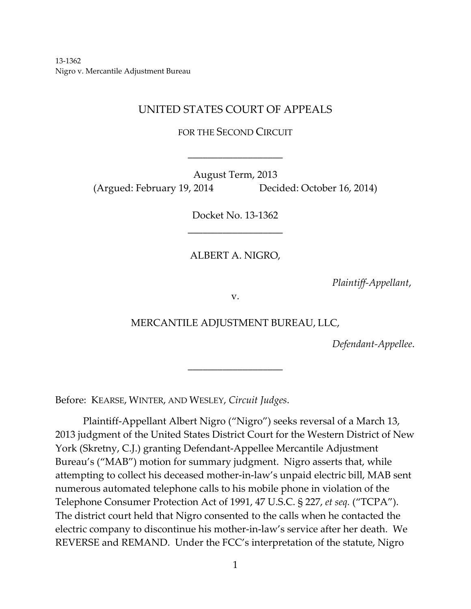13‐1362 Nigro v. Mercantile Adjustment Bureau

# UNITED STATES COURT OF APPEALS

FOR THE SECOND CIRCUIT

\_\_\_\_\_\_\_\_\_\_\_\_\_\_\_\_\_\_\_

August Term, 2013 (Argued: February 19, 2014 Decided: October 16, 2014)

> Docket No. 13‐1362 \_\_\_\_\_\_\_\_\_\_\_\_\_\_\_\_\_\_\_

ALBERT A. NIGRO,

*Plaintiff‐Appellant*,

v.

## MERCANTILE ADJUSTMENT BUREAU, LLC,

\_\_\_\_\_\_\_\_\_\_\_\_\_\_\_\_\_\_\_

*Defendant‐Appellee*.

Before: KEARSE, WINTER, AND WESLEY, *Circuit Judges*.

Plaintiff‐Appellant Albert Nigro ("Nigro") seeks reversal of a March 13, 2013 judgment of the United States District Court for the Western District of New York (Skretny, C.J.) granting Defendant‐Appellee Mercantile Adjustment Bureau's ("MAB") motion for summary judgment. Nigro asserts that, while attempting to collect his deceased mother‐in‐law's unpaid electric bill, MAB sent numerous automated telephone calls to his mobile phone in violation of the Telephone Consumer Protection Act of 1991, 47 U.S.C. § 227, *et seq.* ("TCPA"). The district court held that Nigro consented to the calls when he contacted the electric company to discontinue his mother‐in‐law's service after her death. We REVERSE and REMAND. Under the FCC's interpretation of the statute, Nigro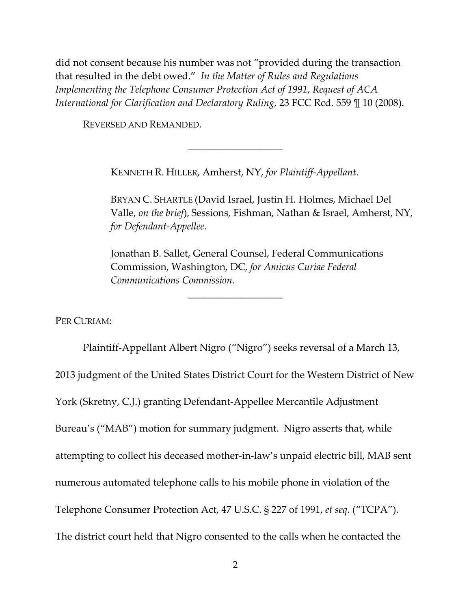did not consent because his number was not "provided during the transaction that resulted in the debt owed." *In the Matter of Rules and Regulations Implementing the Telephone Consumer Protection Act of 1991*, *Request of ACA International for Clarification and Declaratory Ruling*, 23 FCC Rcd. 559 ¶ 10 (2008).

REVERSED AND REMANDED.

KENNETH R. HILLER, Amherst, NY, *for Plaintiff‐Appellant*.

\_\_\_\_\_\_\_\_\_\_\_\_\_\_\_\_\_\_\_

BRYAN C. SHARTLE (David Israel, Justin H. Holmes, Michael Del Valle, *on the brief*), Sessions, Fishman, Nathan & Israel, Amherst, NY, *for Defendant‐Appellee*.

Jonathan B. Sallet, General Counsel, Federal Communications Commission, Washington, DC, *for Amicus Curiae Federal Communications Commission*.

\_\_\_\_\_\_\_\_\_\_\_\_\_\_\_\_\_\_\_

PER CURIAM:

Plaintiff‐Appellant Albert Nigro ("Nigro") seeks reversal of a March 13, 2013 judgment of the United States District Court for the Western District of New York (Skretny, C.J.) granting Defendant‐Appellee Mercantile Adjustment Bureau's ("MAB") motion for summary judgment. Nigro asserts that, while attempting to collect his deceased mother‐in‐law's unpaid electric bill, MAB sent numerous automated telephone calls to his mobile phone in violation of the Telephone Consumer Protection Act, 47 U.S.C. § 227 of 1991, *et seq*. ("TCPA"). The district court held that Nigro consented to the calls when he contacted the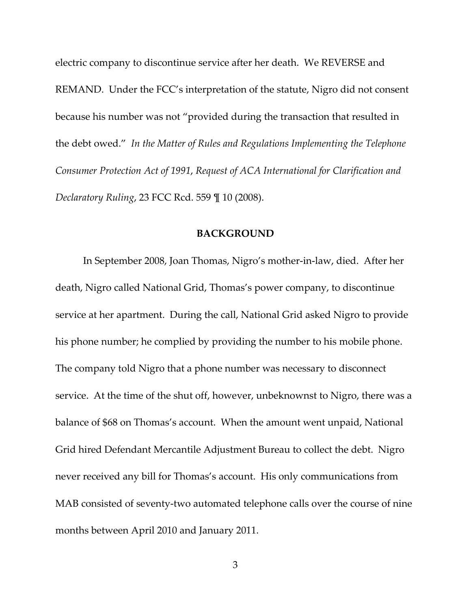electric company to discontinue service after her death. We REVERSE and REMAND. Under the FCC's interpretation of the statute, Nigro did not consent because his number was not "provided during the transaction that resulted in the debt owed." *In the Matter of Rules and Regulations Implementing the Telephone Consumer Protection Act of 1991*, *Request of ACA International for Clarification and Declaratory Ruling*, 23 FCC Rcd. 559 ¶ 10 (2008).

#### **BACKGROUND**

In September 2008, Joan Thomas, Nigro's mother‐in‐law, died. After her death, Nigro called National Grid, Thomas's power company, to discontinue service at her apartment. During the call, National Grid asked Nigro to provide his phone number; he complied by providing the number to his mobile phone. The company told Nigro that a phone number was necessary to disconnect service. At the time of the shut off, however, unbeknownst to Nigro, there was a balance of \$68 on Thomas's account. When the amount went unpaid, National Grid hired Defendant Mercantile Adjustment Bureau to collect the debt. Nigro never received any bill for Thomas's account. His only communications from MAB consisted of seventy‐two automated telephone calls over the course of nine months between April 2010 and January 2011.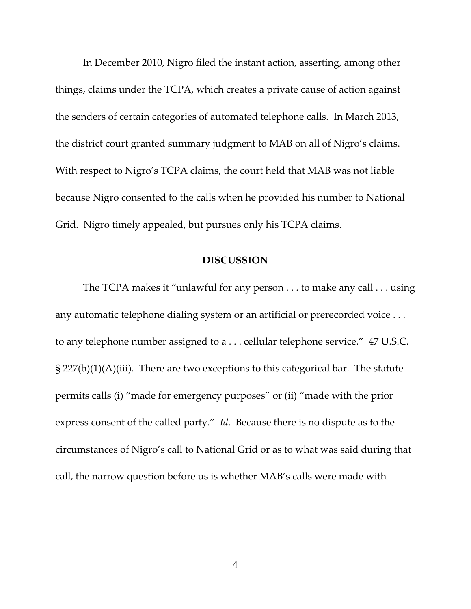In December 2010, Nigro filed the instant action, asserting, among other things, claims under the TCPA, which creates a private cause of action against the senders of certain categories of automated telephone calls. In March 2013, the district court granted summary judgment to MAB on all of Nigro's claims. With respect to Nigro's TCPA claims, the court held that MAB was not liable because Nigro consented to the calls when he provided his number to National Grid. Nigro timely appealed, but pursues only his TCPA claims.

#### **DISCUSSION**

The TCPA makes it "unlawful for any person . . . to make any call . . . using any automatic telephone dialing system or an artificial or prerecorded voice . . . to any telephone number assigned to a . . . cellular telephone service." 47 U.S.C.  $\S 227(b)(1)(A)(iii)$ . There are two exceptions to this categorical bar. The statute permits calls (i) "made for emergency purposes" or (ii) "made with the prior express consent of the called party." *Id*. Because there is no dispute as to the circumstances of Nigro's call to National Grid or as to what was said during that call, the narrow question before us is whether MAB's calls were made with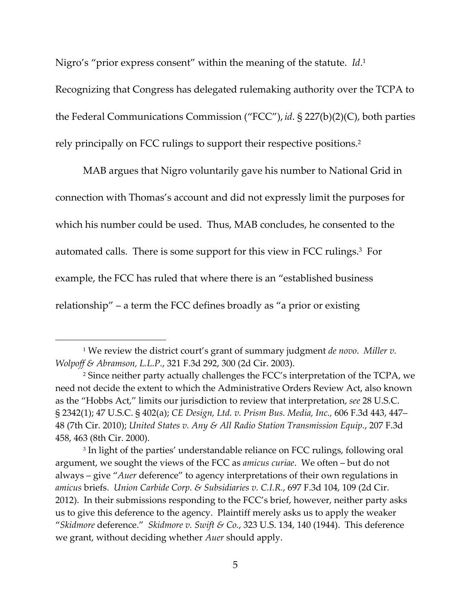Nigro's "prior express consent" within the meaning of the statute. *Id*. 1

Recognizing that Congress has delegated rulemaking authority over the TCPA to the Federal Communications Commission ("FCC"), *id*. § 227(b)(2)(C), both parties rely principally on FCC rulings to support their respective positions.2

MAB argues that Nigro voluntarily gave his number to National Grid in connection with Thomas's account and did not expressly limit the purposes for which his number could be used. Thus, MAB concludes, he consented to the automated calls. There is some support for this view in FCC rulings.3 For example, the FCC has ruled that where there is an "established business relationship" – a term the FCC defines broadly as "a prior or existing

<sup>3</sup> In light of the parties' understandable reliance on FCC rulings, following oral argument, we sought the views of the FCC as *amicus curiae*. We often – but do not always – give "*Auer* deference" to agency interpretations of their own regulations in *amicus* briefs. *Union Carbide Corp. & Subsidiaries v. C.I.R.*, 697 F.3d 104, 109 (2d Cir. 2012). In their submissions responding to the FCC's brief, however, neither party asks us to give this deference to the agency. Plaintiff merely asks us to apply the weaker "*Skidmore* deference." *Skidmore v. Swift & Co.*, 323 U.S. 134, 140 (1944). This deference we grant, without deciding whether *Auer* should apply.

<sup>1</sup> We review the district court's grant of summary judgment *de novo*. *Miller v. Wolpoff & Abramson, L.L.P.*, 321 F.3d 292, 300 (2d Cir. 2003).

<sup>&</sup>lt;sup>2</sup> Since neither party actually challenges the FCC's interpretation of the TCPA, we need not decide the extent to which the Administrative Orders Review Act, also known as the "Hobbs Act," limits our jurisdiction to review that interpretation, *see* 28 U.S.C. § 2342(1); 47 U.S.C. § 402(a); *CE Design, Ltd. v. Prism Bus. Media, Inc.,* 606 F.3d 443, 447– 48 (7th Cir. 2010); *United States v. Any & All Radio Station Transmission Equip.*, 207 F.3d 458, 463 (8th Cir. 2000).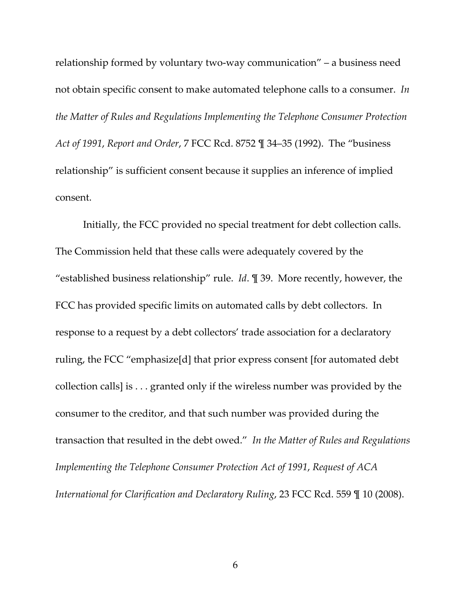relationship formed by voluntary two‐way communication" – a business need not obtain specific consent to make automated telephone calls to a consumer. *In the Matter of Rules and Regulations Implementing the Telephone Consumer Protection Act of 1991*, *Report and Order*, 7 FCC Rcd. 8752 ¶ 34–35 (1992). The "business relationship" is sufficient consent because it supplies an inference of implied consent.

Initially, the FCC provided no special treatment for debt collection calls. The Commission held that these calls were adequately covered by the "established business relationship" rule. *Id*. ¶ 39. More recently, however, the FCC has provided specific limits on automated calls by debt collectors. In response to a request by a debt collectors' trade association for a declaratory ruling, the FCC "emphasize[d] that prior express consent [for automated debt collection calls] is . . . granted only if the wireless number was provided by the consumer to the creditor, and that such number was provided during the transaction that resulted in the debt owed." *In the Matter of Rules and Regulations Implementing the Telephone Consumer Protection Act of 1991*, *Request of ACA International for Clarification and Declaratory Ruling*, 23 FCC Rcd. 559 ¶ 10 (2008).